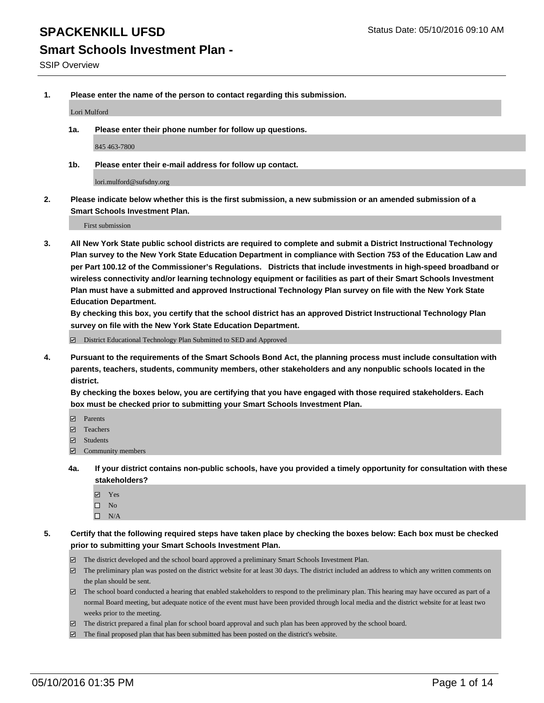# **Smart Schools Investment Plan -**

**1. Please enter the name of the person to contact regarding this submission.**

Lori Mulford

**1a. Please enter their phone number for follow up questions.**

845 463-7800

**1b. Please enter their e-mail address for follow up contact.**

lori.mulford@sufsdny.org

**2. Please indicate below whether this is the first submission, a new submission or an amended submission of a Smart Schools Investment Plan.**

First submission

**3. All New York State public school districts are required to complete and submit a District Instructional Technology Plan survey to the New York State Education Department in compliance with Section 753 of the Education Law and per Part 100.12 of the Commissioner's Regulations. Districts that include investments in high-speed broadband or wireless connectivity and/or learning technology equipment or facilities as part of their Smart Schools Investment Plan must have a submitted and approved Instructional Technology Plan survey on file with the New York State Education Department.** 

**By checking this box, you certify that the school district has an approved District Instructional Technology Plan survey on file with the New York State Education Department.**

■ District Educational Technology Plan Submitted to SED and Approved

**4. Pursuant to the requirements of the Smart Schools Bond Act, the planning process must include consultation with parents, teachers, students, community members, other stakeholders and any nonpublic schools located in the district.** 

**By checking the boxes below, you are certifying that you have engaged with those required stakeholders. Each box must be checked prior to submitting your Smart Schools Investment Plan.**

- **Parents**
- □ Teachers
- Students
- $\boxdot$  Community members
- **4a. If your district contains non-public schools, have you provided a timely opportunity for consultation with these stakeholders?**
	- Yes
	- $\square$  No
	- $\Box$  N/A
- **5. Certify that the following required steps have taken place by checking the boxes below: Each box must be checked prior to submitting your Smart Schools Investment Plan.**
	- The district developed and the school board approved a preliminary Smart Schools Investment Plan.
	- The preliminary plan was posted on the district website for at least 30 days. The district included an address to which any written comments on the plan should be sent.
	- $\Box$  The school board conducted a hearing that enabled stakeholders to respond to the preliminary plan. This hearing may have occured as part of a normal Board meeting, but adequate notice of the event must have been provided through local media and the district website for at least two weeks prior to the meeting.
	- The district prepared a final plan for school board approval and such plan has been approved by the school board.
	- The final proposed plan that has been submitted has been posted on the district's website.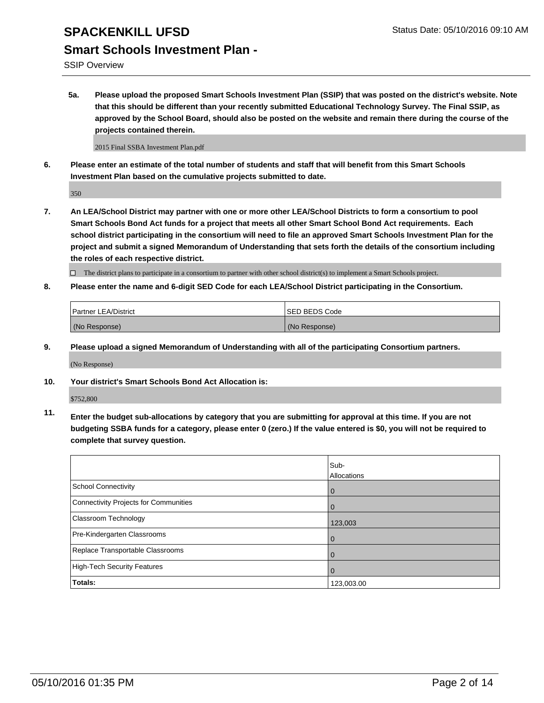SSIP Overview

**5a. Please upload the proposed Smart Schools Investment Plan (SSIP) that was posted on the district's website. Note that this should be different than your recently submitted Educational Technology Survey. The Final SSIP, as approved by the School Board, should also be posted on the website and remain there during the course of the projects contained therein.**

2015 Final SSBA Investment Plan.pdf

**6. Please enter an estimate of the total number of students and staff that will benefit from this Smart Schools Investment Plan based on the cumulative projects submitted to date.**

350

**7. An LEA/School District may partner with one or more other LEA/School Districts to form a consortium to pool Smart Schools Bond Act funds for a project that meets all other Smart School Bond Act requirements. Each school district participating in the consortium will need to file an approved Smart Schools Investment Plan for the project and submit a signed Memorandum of Understanding that sets forth the details of the consortium including the roles of each respective district.**

 $\Box$  The district plans to participate in a consortium to partner with other school district(s) to implement a Smart Schools project.

**8. Please enter the name and 6-digit SED Code for each LEA/School District participating in the Consortium.**

| <b>Partner LEA/District</b> | <b>ISED BEDS Code</b> |
|-----------------------------|-----------------------|
| (No Response)               | (No Response)         |

**9. Please upload a signed Memorandum of Understanding with all of the participating Consortium partners.**

(No Response)

**10. Your district's Smart Schools Bond Act Allocation is:**

\$752,800

**11. Enter the budget sub-allocations by category that you are submitting for approval at this time. If you are not budgeting SSBA funds for a category, please enter 0 (zero.) If the value entered is \$0, you will not be required to complete that survey question.**

|                                       | Sub-<br>Allocations |
|---------------------------------------|---------------------|
| <b>School Connectivity</b>            | 0                   |
| Connectivity Projects for Communities |                     |
| <b>Classroom Technology</b>           | 123,003             |
| Pre-Kindergarten Classrooms           | $\Omega$            |
| Replace Transportable Classrooms      | 0                   |
| High-Tech Security Features           | $\Omega$            |
| <b>Totals:</b>                        | 123,003.00          |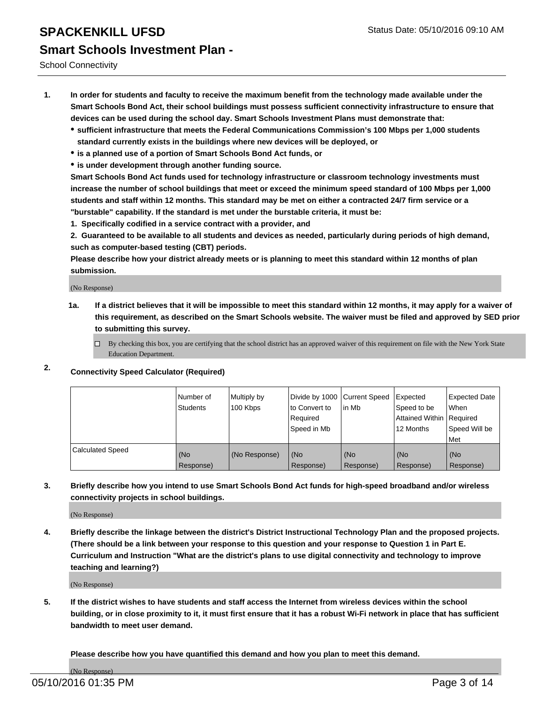School Connectivity

- **1. In order for students and faculty to receive the maximum benefit from the technology made available under the Smart Schools Bond Act, their school buildings must possess sufficient connectivity infrastructure to ensure that devices can be used during the school day. Smart Schools Investment Plans must demonstrate that:**
	- **sufficient infrastructure that meets the Federal Communications Commission's 100 Mbps per 1,000 students standard currently exists in the buildings where new devices will be deployed, or**
	- **is a planned use of a portion of Smart Schools Bond Act funds, or**
	- **is under development through another funding source.**

**Smart Schools Bond Act funds used for technology infrastructure or classroom technology investments must increase the number of school buildings that meet or exceed the minimum speed standard of 100 Mbps per 1,000 students and staff within 12 months. This standard may be met on either a contracted 24/7 firm service or a "burstable" capability. If the standard is met under the burstable criteria, it must be:**

**1. Specifically codified in a service contract with a provider, and**

**2. Guaranteed to be available to all students and devices as needed, particularly during periods of high demand, such as computer-based testing (CBT) periods.**

**Please describe how your district already meets or is planning to meet this standard within 12 months of plan submission.**

(No Response)

- **1a. If a district believes that it will be impossible to meet this standard within 12 months, it may apply for a waiver of this requirement, as described on the Smart Schools website. The waiver must be filed and approved by SED prior to submitting this survey.**
	- □ By checking this box, you are certifying that the school district has an approved waiver of this requirement on file with the New York State Education Department.
- **2. Connectivity Speed Calculator (Required)**

|                         | Number of<br>Students | Multiply by<br>100 Kbps | Divide by 1000 Current Speed<br>to Convert to<br>Reauired<br>Speed in Mb | lin Mb             | Expected<br>Speed to be<br>Attained Within   Required<br>12 Months | <b>Expected Date</b><br>l When<br>Speed Will be<br>l Met |
|-------------------------|-----------------------|-------------------------|--------------------------------------------------------------------------|--------------------|--------------------------------------------------------------------|----------------------------------------------------------|
| <b>Calculated Speed</b> | (No<br>Response)      | (No Response)           | (No<br>Response)                                                         | l (No<br>Response) | (No<br>Response)                                                   | l (No<br>Response)                                       |

#### **3. Briefly describe how you intend to use Smart Schools Bond Act funds for high-speed broadband and/or wireless connectivity projects in school buildings.**

(No Response)

**4. Briefly describe the linkage between the district's District Instructional Technology Plan and the proposed projects. (There should be a link between your response to this question and your response to Question 1 in Part E. Curriculum and Instruction "What are the district's plans to use digital connectivity and technology to improve teaching and learning?)**

(No Response)

**5. If the district wishes to have students and staff access the Internet from wireless devices within the school building, or in close proximity to it, it must first ensure that it has a robust Wi-Fi network in place that has sufficient bandwidth to meet user demand.**

**Please describe how you have quantified this demand and how you plan to meet this demand.**

(No Response)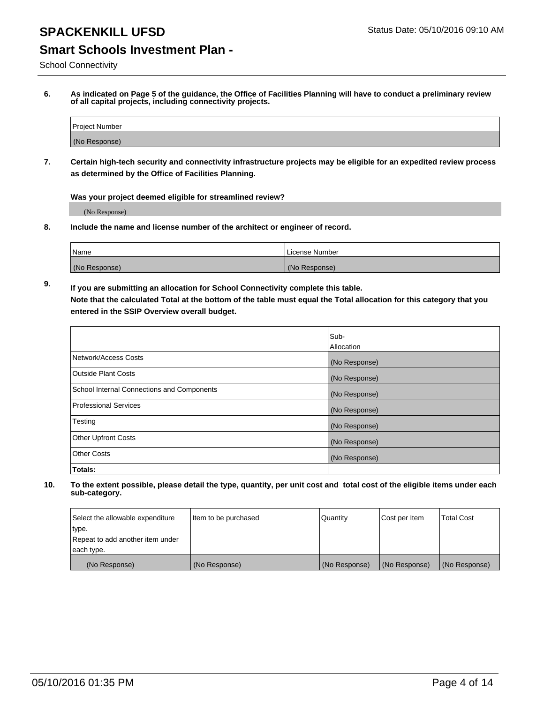School Connectivity

**6. As indicated on Page 5 of the guidance, the Office of Facilities Planning will have to conduct a preliminary review of all capital projects, including connectivity projects.**

| Project Number |  |
|----------------|--|
| (No Response)  |  |

**7. Certain high-tech security and connectivity infrastructure projects may be eligible for an expedited review process as determined by the Office of Facilities Planning.**

**Was your project deemed eligible for streamlined review?**

(No Response)

**8. Include the name and license number of the architect or engineer of record.**

| <sup>1</sup> Name | l License Number |
|-------------------|------------------|
| (No Response)     | (No Response)    |

**9. If you are submitting an allocation for School Connectivity complete this table. Note that the calculated Total at the bottom of the table must equal the Total allocation for this category that you entered in the SSIP Overview overall budget.** 

|                                            | Sub-              |
|--------------------------------------------|-------------------|
|                                            | <b>Allocation</b> |
| Network/Access Costs                       | (No Response)     |
| <b>Outside Plant Costs</b>                 | (No Response)     |
| School Internal Connections and Components | (No Response)     |
| <b>Professional Services</b>               | (No Response)     |
| Testing                                    | (No Response)     |
| <b>Other Upfront Costs</b>                 | (No Response)     |
| <b>Other Costs</b>                         | (No Response)     |
| Totals:                                    |                   |

| Select the allowable expenditure | Item to be purchased | Quantity      | Cost per Item | Total Cost    |
|----------------------------------|----------------------|---------------|---------------|---------------|
| type.                            |                      |               |               |               |
| Repeat to add another item under |                      |               |               |               |
| each type.                       |                      |               |               |               |
| (No Response)                    | (No Response)        | (No Response) | (No Response) | (No Response) |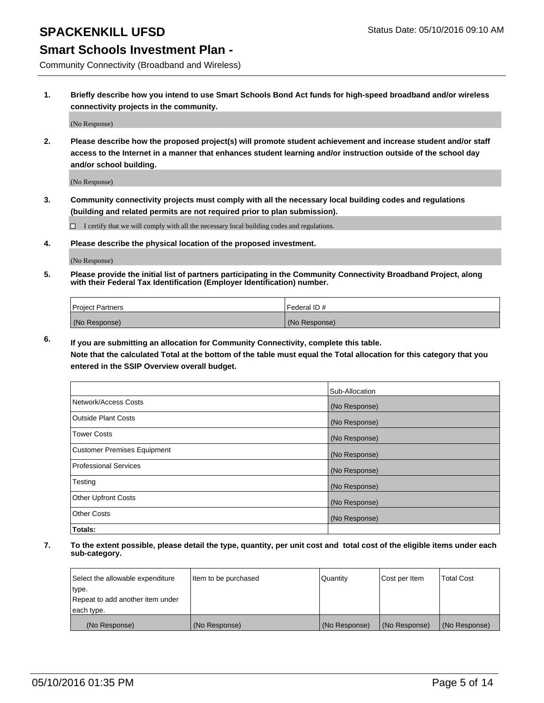# **SPACKENKILL UFSD** Status Date: 05/10/2016 09:10 AM

### **Smart Schools Investment Plan -**

Community Connectivity (Broadband and Wireless)

**1. Briefly describe how you intend to use Smart Schools Bond Act funds for high-speed broadband and/or wireless connectivity projects in the community.**

(No Response)

**2. Please describe how the proposed project(s) will promote student achievement and increase student and/or staff access to the Internet in a manner that enhances student learning and/or instruction outside of the school day and/or school building.**

(No Response)

**3. Community connectivity projects must comply with all the necessary local building codes and regulations (building and related permits are not required prior to plan submission).**

 $\Box$  I certify that we will comply with all the necessary local building codes and regulations.

**4. Please describe the physical location of the proposed investment.**

(No Response)

**5. Please provide the initial list of partners participating in the Community Connectivity Broadband Project, along with their Federal Tax Identification (Employer Identification) number.**

| <b>Project Partners</b> | <b>IFederal ID#</b> |
|-------------------------|---------------------|
| (No Response)           | (No Response)       |

**6. If you are submitting an allocation for Community Connectivity, complete this table.**

**Note that the calculated Total at the bottom of the table must equal the Total allocation for this category that you entered in the SSIP Overview overall budget.**

|                                    | Sub-Allocation |
|------------------------------------|----------------|
| Network/Access Costs               | (No Response)  |
| Outside Plant Costs                | (No Response)  |
| <b>Tower Costs</b>                 | (No Response)  |
| <b>Customer Premises Equipment</b> | (No Response)  |
| Professional Services              | (No Response)  |
| Testing                            | (No Response)  |
| <b>Other Upfront Costs</b>         | (No Response)  |
| <b>Other Costs</b>                 | (No Response)  |
| Totals:                            |                |

| Select the allowable expenditure | litem to be purchased | Quantity      | Cost per Item | <b>Total Cost</b> |
|----------------------------------|-----------------------|---------------|---------------|-------------------|
| type.                            |                       |               |               |                   |
| Repeat to add another item under |                       |               |               |                   |
| each type.                       |                       |               |               |                   |
| (No Response)                    | (No Response)         | (No Response) | (No Response) | (No Response)     |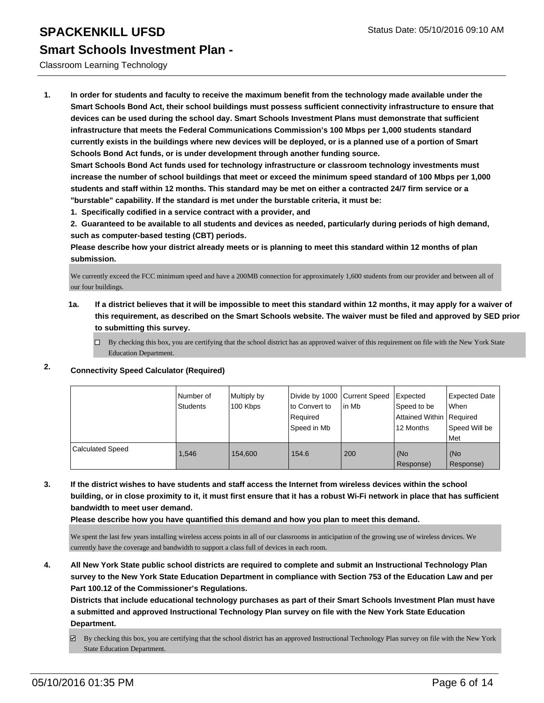#### Classroom Learning Technology

**1. In order for students and faculty to receive the maximum benefit from the technology made available under the Smart Schools Bond Act, their school buildings must possess sufficient connectivity infrastructure to ensure that devices can be used during the school day. Smart Schools Investment Plans must demonstrate that sufficient infrastructure that meets the Federal Communications Commission's 100 Mbps per 1,000 students standard currently exists in the buildings where new devices will be deployed, or is a planned use of a portion of Smart Schools Bond Act funds, or is under development through another funding source.**

**Smart Schools Bond Act funds used for technology infrastructure or classroom technology investments must increase the number of school buildings that meet or exceed the minimum speed standard of 100 Mbps per 1,000 students and staff within 12 months. This standard may be met on either a contracted 24/7 firm service or a "burstable" capability. If the standard is met under the burstable criteria, it must be:**

**1. Specifically codified in a service contract with a provider, and**

**2. Guaranteed to be available to all students and devices as needed, particularly during periods of high demand, such as computer-based testing (CBT) periods.**

**Please describe how your district already meets or is planning to meet this standard within 12 months of plan submission.**

We currently exceed the FCC minimum speed and have a 200MB connection for approximately 1,600 students from our provider and between all of our four buildings.

**1a. If a district believes that it will be impossible to meet this standard within 12 months, it may apply for a waiver of this requirement, as described on the Smart Schools website. The waiver must be filed and approved by SED prior to submitting this survey.**

 $\Box$  By checking this box, you are certifying that the school district has an approved waiver of this requirement on file with the New York State Education Department.

### **2. Connectivity Speed Calculator (Required)**

|                         | l Number of<br>Students | Multiply by<br>100 Kbps | Divide by 1000 Current Speed<br>Ito Convert to<br>Required<br>Speed in Mb | lin Mb | Expected<br>Speed to be<br>Attained Within   Required<br>12 Months | Expected Date<br><b>When</b><br>Speed Will be<br>l Met |
|-------------------------|-------------------------|-------------------------|---------------------------------------------------------------------------|--------|--------------------------------------------------------------------|--------------------------------------------------------|
| <b>Calculated Speed</b> | 1,546                   | 154,600                 | 154.6                                                                     | 200    | (No<br>Response)                                                   | (No<br>Response)                                       |

**3. If the district wishes to have students and staff access the Internet from wireless devices within the school building, or in close proximity to it, it must first ensure that it has a robust Wi-Fi network in place that has sufficient bandwidth to meet user demand.**

**Please describe how you have quantified this demand and how you plan to meet this demand.**

We spent the last few years installing wireless access points in all of our classrooms in anticipation of the growing use of wireless devices. We currently have the coverage and bandwidth to support a class full of devices in each room.

**4. All New York State public school districts are required to complete and submit an Instructional Technology Plan survey to the New York State Education Department in compliance with Section 753 of the Education Law and per Part 100.12 of the Commissioner's Regulations.**

**Districts that include educational technology purchases as part of their Smart Schools Investment Plan must have a submitted and approved Instructional Technology Plan survey on file with the New York State Education Department.**

By checking this box, you are certifying that the school district has an approved Instructional Technology Plan survey on file with the New York State Education Department.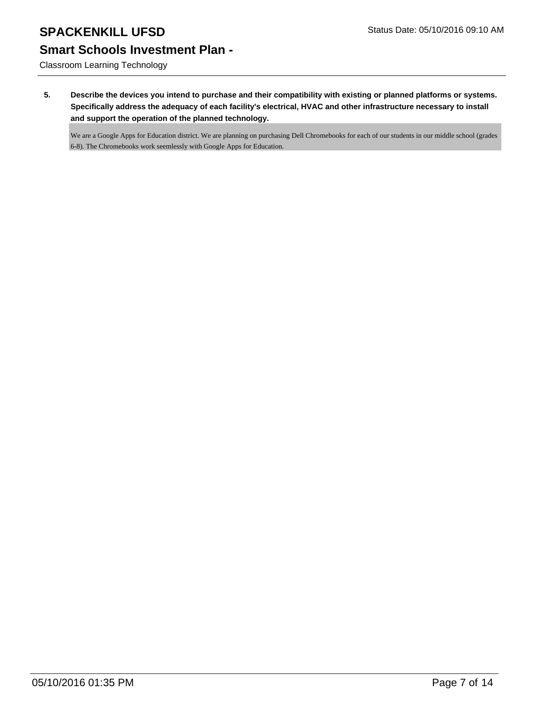Classroom Learning Technology

**5. Describe the devices you intend to purchase and their compatibility with existing or planned platforms or systems. Specifically address the adequacy of each facility's electrical, HVAC and other infrastructure necessary to install and support the operation of the planned technology.**

We are a Google Apps for Education district. We are planning on purchasing Dell Chromebooks for each of our students in our middle school (grades 6-8). The Chromebooks work seemlessly with Google Apps for Education.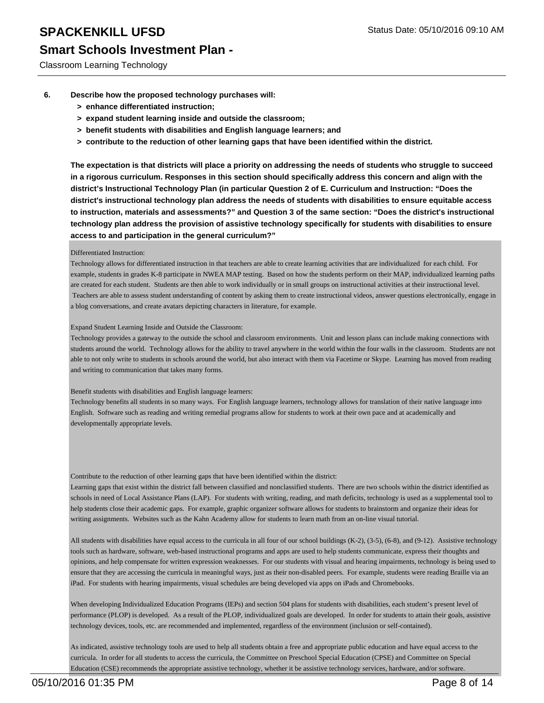Classroom Learning Technology

- **6. Describe how the proposed technology purchases will:**
	- **> enhance differentiated instruction;**
	- **> expand student learning inside and outside the classroom;**
	- **> benefit students with disabilities and English language learners; and**
	- **> contribute to the reduction of other learning gaps that have been identified within the district.**

**The expectation is that districts will place a priority on addressing the needs of students who struggle to succeed in a rigorous curriculum. Responses in this section should specifically address this concern and align with the district's Instructional Technology Plan (in particular Question 2 of E. Curriculum and Instruction: "Does the district's instructional technology plan address the needs of students with disabilities to ensure equitable access to instruction, materials and assessments?" and Question 3 of the same section: "Does the district's instructional technology plan address the provision of assistive technology specifically for students with disabilities to ensure access to and participation in the general curriculum?"**

#### Differentiated Instruction:

Technology allows for differentiated instruction in that teachers are able to create learning activities that are individualized for each child. For example, students in grades K-8 participate in NWEA MAP testing. Based on how the students perform on their MAP, individualized learning paths are created for each student. Students are then able to work individually or in small groups on instructional activities at their instructional level. Teachers are able to assess student understanding of content by asking them to create instructional videos, answer questions electronically, engage in a blog conversations, and create avatars depicting characters in literature, for example.

#### Expand Student Learning Inside and Outside the Classroom:

Technology provides a gateway to the outside the school and classroom environments. Unit and lesson plans can include making connections with students around the world. Technology allows for the ability to travel anywhere in the world within the four walls in the classroom. Students are not able to not only write to students in schools around the world, but also interact with them via Facetime or Skype. Learning has moved from reading and writing to communication that takes many forms.

#### Benefit students with disabilities and English language learners:

Technology benefits all students in so many ways. For English language learners, technology allows for translation of their native language into English. Software such as reading and writing remedial programs allow for students to work at their own pace and at academically and developmentally appropriate levels.

Contribute to the reduction of other learning gaps that have been identified within the district:

Learning gaps that exist within the district fall between classified and nonclassified students. There are two schools within the district identified as schools in need of Local Assistance Plans (LAP). For students with writing, reading, and math deficits, technology is used as a supplemental tool to help students close their academic gaps. For example, graphic organizer software allows for students to brainstorm and organize their ideas for writing assignments. Websites such as the Kahn Academy allow for students to learn math from an on-line visual tutorial.

All students with disabilities have equal access to the curricula in all four of our school buildings (K-2), (3-5), (6-8), and (9-12). Assistive technology tools such as hardware, software, web-based instructional programs and apps are used to help students communicate, express their thoughts and opinions, and help compensate for written expression weaknesses. For our students with visual and hearing impairments, technology is being used to ensure that they are accessing the curricula in meaningful ways, just as their non-disabled peers. For example, students were reading Braille via an iPad. For students with hearing impairments, visual schedules are being developed via apps on iPads and Chromebooks.

When developing Individualized Education Programs (IEPs) and section 504 plans for students with disabilities, each student's present level of performance (PLOP) is developed. As a result of the PLOP, individualized goals are developed. In order for students to attain their goals, assistive technology devices, tools, etc. are recommended and implemented, regardless of the environment (inclusion or self-contained).

As indicated, assistive technology tools are used to help all students obtain a free and appropriate public education and have equal access to the curricula. In order for all students to access the curricula, the Committee on Preschool Special Education (CPSE) and Committee on Special Education (CSE) recommends the appropriate assistive technology, whether it be assistive technology services, hardware, and/or software.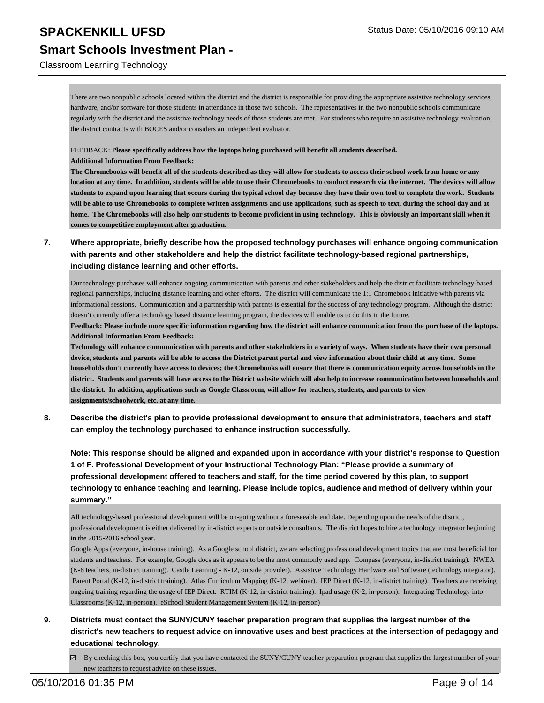#### Classroom Learning Technology

There are two nonpublic schools located within the district and the district is responsible for providing the appropriate assistive technology services, hardware, and/or software for those students in attendance in those two schools. The representatives in the two nonpublic schools communicate regularly with the district and the assistive technology needs of those students are met. For students who require an assistive technology evaluation, the district contracts with BOCES and/or considers an independent evaluator.

FEEDBACK: **Please specifically address how the laptops being purchased will benefit all students described.**

**Additional Information From Feedback:**

**The Chromebooks will benefit all of the students described as they will allow for students to access their school work from home or any location at any time. In addition, students will be able to use their Chromebooks to conduct research via the internet. The devices will allow students to expand upon learning that occurs during the typical school day because they have their own tool to complete the work. Students will be able to use Chromebooks to complete written assignments and use applications, such as speech to text, during the school day and at home. The Chromebooks will also help our students to become proficient in using technology. This is obviously an important skill when it comes to competitive employment after graduation.**

**7. Where appropriate, briefly describe how the proposed technology purchases will enhance ongoing communication with parents and other stakeholders and help the district facilitate technology-based regional partnerships, including distance learning and other efforts.**

Our technology purchases will enhance ongoing communication with parents and other stakeholders and help the district facilitate technology-based regional partnerships, including distance learning and other efforts. The district will communicate the 1:1 Chromebook initiative with parents via informational sessions. Communication and a partnership with parents is essential for the success of any technology program. Although the district doesn't currently offer a technology based distance learning program, the devices will enable us to do this in the future.

**Feedback: Please include more specific information regarding how the district will enhance communication from the purchase of the laptops. Additional Information From Feedback:**

**Technology will enhance communication with parents and other stakeholders in a variety of ways. When students have their own personal device, students and parents will be able to access the District parent portal and view information about their child at any time. Some households don't currently have access to devices; the Chromebooks will ensure that there is communication equity across households in the district. Students and parents will have access to the District website which will also help to increase communication between households and the district. In addition, applications such as Google Classroom, will allow for teachers, students, and parents to view assignments/schoolwork, etc. at any time.**

**8. Describe the district's plan to provide professional development to ensure that administrators, teachers and staff can employ the technology purchased to enhance instruction successfully.**

**Note: This response should be aligned and expanded upon in accordance with your district's response to Question 1 of F. Professional Development of your Instructional Technology Plan: "Please provide a summary of professional development offered to teachers and staff, for the time period covered by this plan, to support technology to enhance teaching and learning. Please include topics, audience and method of delivery within your summary."**

All technology-based professional development will be on-going without a foreseeable end date. Depending upon the needs of the district, professional development is either delivered by in-district experts or outside consultants. The district hopes to hire a technology integrator beginning in the 2015-2016 school year.

Google Apps (everyone, in-house training). As a Google school district, we are selecting professional development topics that are most beneficial for students and teachers. For example, Google docs as it appears to be the most commonly used app. Compass (everyone, in-district training). NWEA (K-8 teachers, in-district training). Castle Learning - K-12, outside provider). Assistive Technology Hardware and Software (technology integrator). Parent Portal (K-12, in-district training). Atlas Curriculum Mapping (K-12, webinar). IEP Direct (K-12, in-district training). Teachers are receiving ongoing training regarding the usage of IEP Direct. RTIM (K-12, in-district training). Ipad usage (K-2, in-person). Integrating Technology into Classrooms (K-12, in-person). eSchool Student Management System (K-12, in-person)

**9. Districts must contact the SUNY/CUNY teacher preparation program that supplies the largest number of the district's new teachers to request advice on innovative uses and best practices at the intersection of pedagogy and educational technology.**

By checking this box, you certify that you have contacted the SUNY/CUNY teacher preparation program that supplies the largest number of your new teachers to request advice on these issues.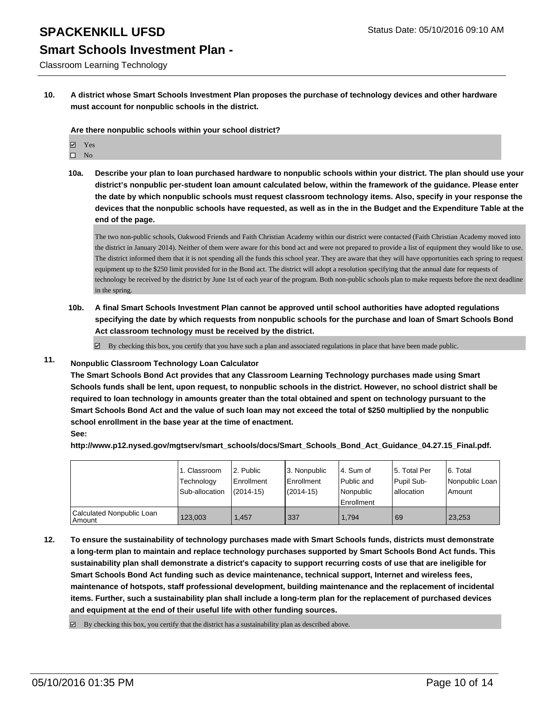# **Smart Schools Investment Plan -**

Classroom Learning Technology

**10. A district whose Smart Schools Investment Plan proposes the purchase of technology devices and other hardware must account for nonpublic schools in the district.**

**Are there nonpublic schools within your school district?**

- Yes
- $\square$  No
- **10a. Describe your plan to loan purchased hardware to nonpublic schools within your district. The plan should use your district's nonpublic per-student loan amount calculated below, within the framework of the guidance. Please enter the date by which nonpublic schools must request classroom technology items. Also, specify in your response the devices that the nonpublic schools have requested, as well as in the in the Budget and the Expenditure Table at the end of the page.**

The two non-public schools, Oakwood Friends and Faith Christian Academy within our district were contacted (Faith Christian Academy moved into the district in January 2014). Neither of them were aware for this bond act and were not prepared to provide a list of equipment they would like to use. The district informed them that it is not spending all the funds this school year. They are aware that they will have opportunities each spring to request equipment up to the \$250 limit provided for in the Bond act. The district will adopt a resolution specifying that the annual date for requests of technology be received by the district by June 1st of each year of the program. Both non-public schools plan to make requests before the next deadline in the spring.

**10b. A final Smart Schools Investment Plan cannot be approved until school authorities have adopted regulations specifying the date by which requests from nonpublic schools for the purchase and loan of Smart Schools Bond Act classroom technology must be received by the district.**

 $\boxtimes$  By checking this box, you certify that you have such a plan and associated regulations in place that have been made public.

### **11. Nonpublic Classroom Technology Loan Calculator**

**The Smart Schools Bond Act provides that any Classroom Learning Technology purchases made using Smart Schools funds shall be lent, upon request, to nonpublic schools in the district. However, no school district shall be required to loan technology in amounts greater than the total obtained and spent on technology pursuant to the Smart Schools Bond Act and the value of such loan may not exceed the total of \$250 multiplied by the nonpublic school enrollment in the base year at the time of enactment. See:**

**http://www.p12.nysed.gov/mgtserv/smart\_schools/docs/Smart\_Schools\_Bond\_Act\_Guidance\_04.27.15\_Final.pdf.**

|                                     | 1. Classroom<br>Technology<br>Sub-allocation | 2. Public<br>Enrollment<br>$(2014-15)$ | 13. Nonpublic<br>l Enrollment<br>$(2014 - 15)$ | 4. Sum of<br>Public and<br>Nonpublic<br><b>Enrollment</b> | 15. Total Per<br>Pupil Sub-<br>lallocation | 6. Total<br>Nonpublic Loan  <br>Amount |
|-------------------------------------|----------------------------------------------|----------------------------------------|------------------------------------------------|-----------------------------------------------------------|--------------------------------------------|----------------------------------------|
| Calculated Nonpublic Loan<br>Amount | 123.003                                      | 1.457                                  | 337                                            | 1.794                                                     | 69                                         | 23,253                                 |

**12. To ensure the sustainability of technology purchases made with Smart Schools funds, districts must demonstrate a long-term plan to maintain and replace technology purchases supported by Smart Schools Bond Act funds. This sustainability plan shall demonstrate a district's capacity to support recurring costs of use that are ineligible for Smart Schools Bond Act funding such as device maintenance, technical support, Internet and wireless fees, maintenance of hotspots, staff professional development, building maintenance and the replacement of incidental items. Further, such a sustainability plan shall include a long-term plan for the replacement of purchased devices and equipment at the end of their useful life with other funding sources.**

 $\boxdot$  By checking this box, you certify that the district has a sustainability plan as described above.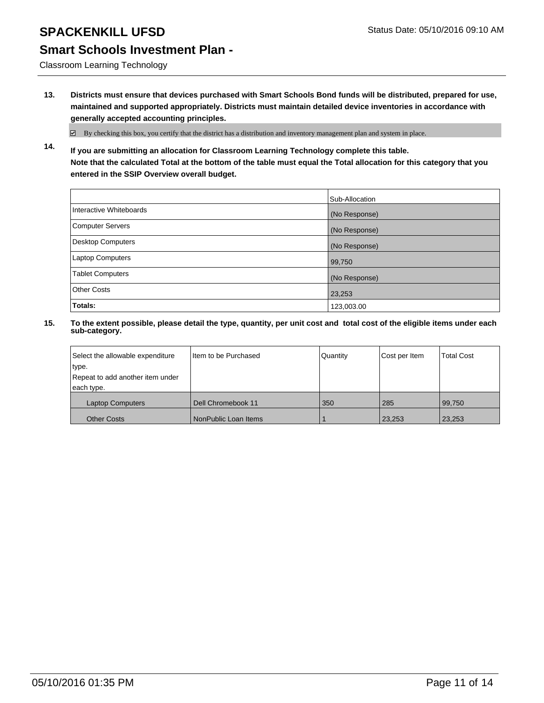Classroom Learning Technology

**13. Districts must ensure that devices purchased with Smart Schools Bond funds will be distributed, prepared for use, maintained and supported appropriately. Districts must maintain detailed device inventories in accordance with generally accepted accounting principles.**

 $\boxtimes$  By checking this box, you certify that the district has a distribution and inventory management plan and system in place.

**14. If you are submitting an allocation for Classroom Learning Technology complete this table. Note that the calculated Total at the bottom of the table must equal the Total allocation for this category that you entered in the SSIP Overview overall budget.**

|                          | Sub-Allocation |
|--------------------------|----------------|
| Interactive Whiteboards  | (No Response)  |
| <b>Computer Servers</b>  | (No Response)  |
| <b>Desktop Computers</b> | (No Response)  |
| <b>Laptop Computers</b>  | 99,750         |
| <b>Tablet Computers</b>  | (No Response)  |
| Other Costs              | 23,253         |
| <b>Totals:</b>           | 123,003.00     |

| Select the allowable expenditure | Iltem to be Purchased | Quantity | Cost per Item | <b>Total Cost</b> |
|----------------------------------|-----------------------|----------|---------------|-------------------|
| type.                            |                       |          |               |                   |
| Repeat to add another item under |                       |          |               |                   |
| each type.                       |                       |          |               |                   |
| <b>Laptop Computers</b>          | Dell Chromebook 11    | 350      | 285           | 99.750            |
| <b>Other Costs</b>               | NonPublic Loan Items  |          | 23,253        | 23,253            |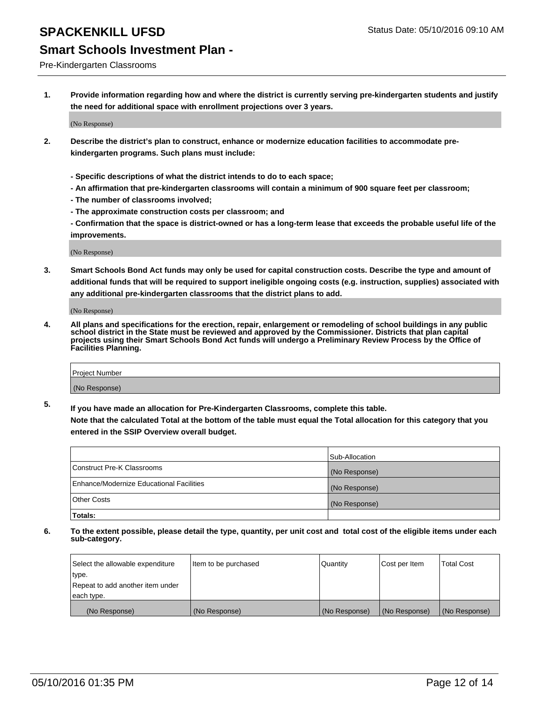#### Pre-Kindergarten Classrooms

**1. Provide information regarding how and where the district is currently serving pre-kindergarten students and justify the need for additional space with enrollment projections over 3 years.**

(No Response)

- **2. Describe the district's plan to construct, enhance or modernize education facilities to accommodate prekindergarten programs. Such plans must include:**
	- **Specific descriptions of what the district intends to do to each space;**
	- **An affirmation that pre-kindergarten classrooms will contain a minimum of 900 square feet per classroom;**
	- **The number of classrooms involved;**
	- **The approximate construction costs per classroom; and**
	- **Confirmation that the space is district-owned or has a long-term lease that exceeds the probable useful life of the improvements.**

(No Response)

**3. Smart Schools Bond Act funds may only be used for capital construction costs. Describe the type and amount of additional funds that will be required to support ineligible ongoing costs (e.g. instruction, supplies) associated with any additional pre-kindergarten classrooms that the district plans to add.**

(No Response)

**4. All plans and specifications for the erection, repair, enlargement or remodeling of school buildings in any public school district in the State must be reviewed and approved by the Commissioner. Districts that plan capital projects using their Smart Schools Bond Act funds will undergo a Preliminary Review Process by the Office of Facilities Planning.**

| Project Number |  |
|----------------|--|
| (No Response)  |  |

**5. If you have made an allocation for Pre-Kindergarten Classrooms, complete this table. Note that the calculated Total at the bottom of the table must equal the Total allocation for this category that you**

**entered in the SSIP Overview overall budget.**

|                                          | Sub-Allocation |
|------------------------------------------|----------------|
| Construct Pre-K Classrooms               | (No Response)  |
| Enhance/Modernize Educational Facilities | (No Response)  |
| Other Costs                              | (No Response)  |
| Totals:                                  |                |

| Select the allowable expenditure | Item to be purchased | Quantity      | Cost per Item | <b>Total Cost</b> |
|----------------------------------|----------------------|---------------|---------------|-------------------|
| type.                            |                      |               |               |                   |
| Repeat to add another item under |                      |               |               |                   |
| each type.                       |                      |               |               |                   |
| (No Response)                    | (No Response)        | (No Response) | (No Response) | (No Response)     |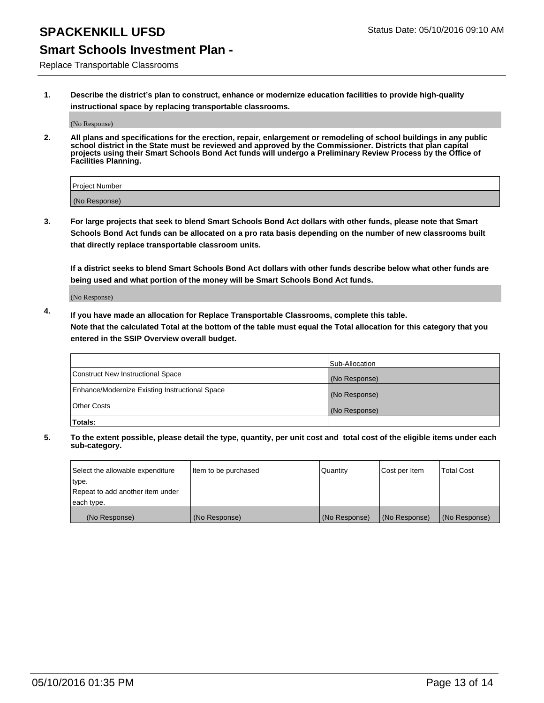# **SPACKENKILL UFSD** Status Date: 05/10/2016 09:10 AM

### **Smart Schools Investment Plan -**

Replace Transportable Classrooms

**1. Describe the district's plan to construct, enhance or modernize education facilities to provide high-quality instructional space by replacing transportable classrooms.**

(No Response)

**2. All plans and specifications for the erection, repair, enlargement or remodeling of school buildings in any public school district in the State must be reviewed and approved by the Commissioner. Districts that plan capital projects using their Smart Schools Bond Act funds will undergo a Preliminary Review Process by the Office of Facilities Planning.**

| Project Number |  |
|----------------|--|
| (No Response)  |  |

**3. For large projects that seek to blend Smart Schools Bond Act dollars with other funds, please note that Smart Schools Bond Act funds can be allocated on a pro rata basis depending on the number of new classrooms built that directly replace transportable classroom units.**

**If a district seeks to blend Smart Schools Bond Act dollars with other funds describe below what other funds are being used and what portion of the money will be Smart Schools Bond Act funds.**

(No Response)

**4. If you have made an allocation for Replace Transportable Classrooms, complete this table. Note that the calculated Total at the bottom of the table must equal the Total allocation for this category that you entered in the SSIP Overview overall budget.**

|                                                | Sub-Allocation |
|------------------------------------------------|----------------|
| Construct New Instructional Space              | (No Response)  |
| Enhance/Modernize Existing Instructional Space | (No Response)  |
| <b>Other Costs</b>                             | (No Response)  |
| Totals:                                        |                |

| Select the allowable expenditure | Item to be purchased | <b>Quantity</b> | Cost per Item | <b>Total Cost</b> |
|----------------------------------|----------------------|-----------------|---------------|-------------------|
| type.                            |                      |                 |               |                   |
| Repeat to add another item under |                      |                 |               |                   |
| each type.                       |                      |                 |               |                   |
| (No Response)                    | (No Response)        | (No Response)   | (No Response) | (No Response)     |